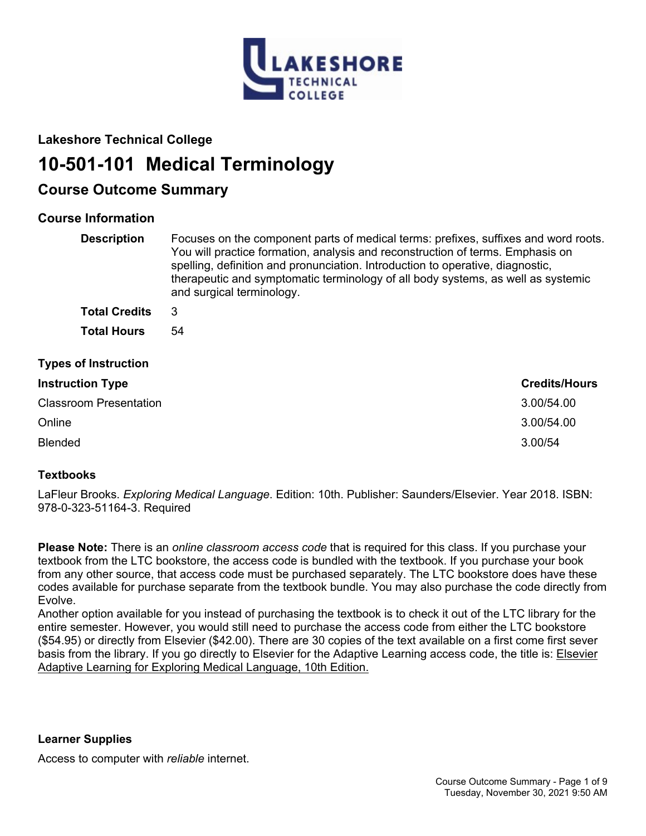

# **Lakeshore Technical College**

# **10-501-101 Medical Terminology**

# **Course Outcome Summary**

# **Course Information**

| <b>Description</b>            | Focuses on the component parts of medical terms: prefixes, suffixes and word roots.<br>You will practice formation, analysis and reconstruction of terms. Emphasis on<br>spelling, definition and pronunciation. Introduction to operative, diagnostic,<br>therapeutic and symptomatic terminology of all body systems, as well as systemic<br>and surgical terminology. |                      |
|-------------------------------|--------------------------------------------------------------------------------------------------------------------------------------------------------------------------------------------------------------------------------------------------------------------------------------------------------------------------------------------------------------------------|----------------------|
| <b>Total Credits</b>          | 3                                                                                                                                                                                                                                                                                                                                                                        |                      |
| <b>Total Hours</b>            | 54                                                                                                                                                                                                                                                                                                                                                                       |                      |
| <b>Types of Instruction</b>   |                                                                                                                                                                                                                                                                                                                                                                          |                      |
| <b>Instruction Type</b>       |                                                                                                                                                                                                                                                                                                                                                                          | <b>Credits/Hours</b> |
| <b>Classroom Presentation</b> |                                                                                                                                                                                                                                                                                                                                                                          | 3.00/54.00           |
| Online                        |                                                                                                                                                                                                                                                                                                                                                                          | 3.00/54.00           |
| <b>Blended</b>                |                                                                                                                                                                                                                                                                                                                                                                          | 3.00/54              |

# **Textbooks**

LaFleur Brooks. *Exploring Medical Language*. Edition: 10th. Publisher: Saunders/Elsevier. Year 2018. ISBN: 978-0-323-51164-3. Required

**Please Note:** There is an *online classroom access code* that is required for this class. If you purchase your textbook from the LTC bookstore, the access code is bundled with the textbook. If you purchase your book from any other source, that access code must be purchased separately. The LTC bookstore does have these codes available for purchase separate from the textbook bundle. You may also purchase the code directly from Evolve.

Another option available for you instead of purchasing the textbook is to check it out of the LTC library for the entire semester. However, you would still need to purchase the access code from either the LTC bookstore (\$54.95) or directly from Elsevier (\$42.00). There are 30 copies of the text available on a first come first sever basis from the library. If you go directly to Elsevier for the Adaptive Learning access code, the title is: Elsevier Adaptive Learning for Exploring Medical Language, 10th Edition.

**Learner Supplies**

Access to computer with *reliable* internet.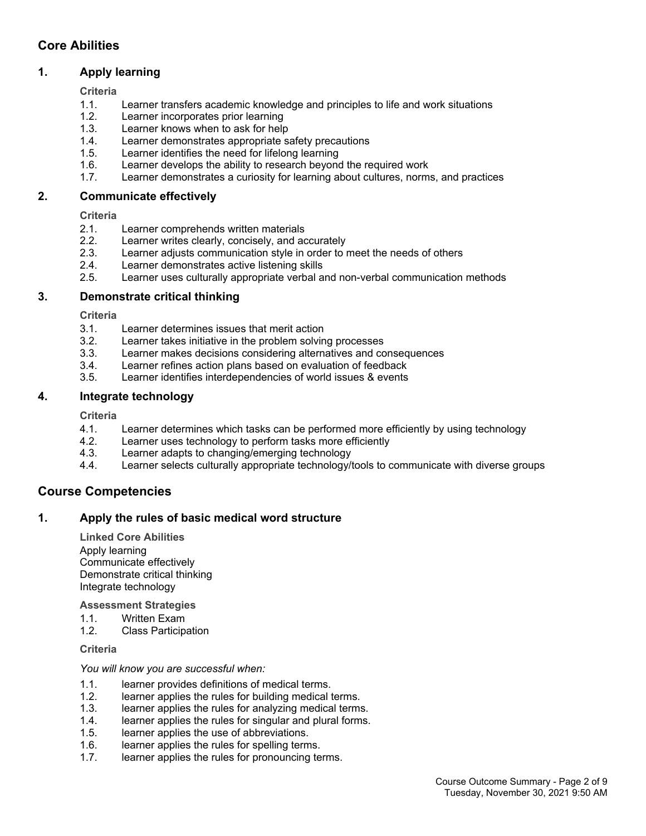# **Core Abilities**

# **1. Apply learning**

**Criteria**

- 1.1. Learner transfers academic knowledge and principles to life and work situations
- 1.2. Learner incorporates prior learning
- 1.3. Learner knows when to ask for help
- 1.4. Learner demonstrates appropriate safety precautions
- 1.5. Learner identifies the need for lifelong learning
- 1.6. Learner develops the ability to research beyond the required work
- 1.7. Learner demonstrates a curiosity for learning about cultures, norms, and practices

#### **2. Communicate effectively**

**Criteria**

- 2.1. Learner comprehends written materials
- 2.2. Learner writes clearly, concisely, and accurately
- 2.3. Learner adjusts communication style in order to meet the needs of others
- 2.4. Learner demonstrates active listening skills
- 2.5. Learner uses culturally appropriate verbal and non-verbal communication methods

#### **3. Demonstrate critical thinking**

**Criteria**

- 3.1. Learner determines issues that merit action
- 3.2. Learner takes initiative in the problem solving processes
- 3.3. Learner makes decisions considering alternatives and consequences
- 3.4. Learner refines action plans based on evaluation of feedback
- 3.5. Learner identifies interdependencies of world issues & events

#### **4. Integrate technology**

**Criteria**

- 4.1. Learner determines which tasks can be performed more efficiently by using technology
- 4.2. Learner uses technology to perform tasks more efficiently
- 4.3. Learner adapts to changing/emerging technology
- 4.4. Learner selects culturally appropriate technology/tools to communicate with diverse groups

# **Course Competencies**

### **1. Apply the rules of basic medical word structure**

**Linked Core Abilities** Apply learning Communicate effectively Demonstrate critical thinking Integrate technology

#### **Assessment Strategies**

- 1.1. Written Exam
- 1.2. Class Participation

#### **Criteria**

#### *You will know you are successful when:*

- 1.1. learner provides definitions of medical terms.<br>1.2. learner applies the rules for building medical
- learner applies the rules for building medical terms.
- 1.3. learner applies the rules for analyzing medical terms.
- 1.4. learner applies the rules for singular and plural forms.
- 1.5. learner applies the use of abbreviations.
- 1.6. learner applies the rules for spelling terms.
- 1.7. learner applies the rules for pronouncing terms.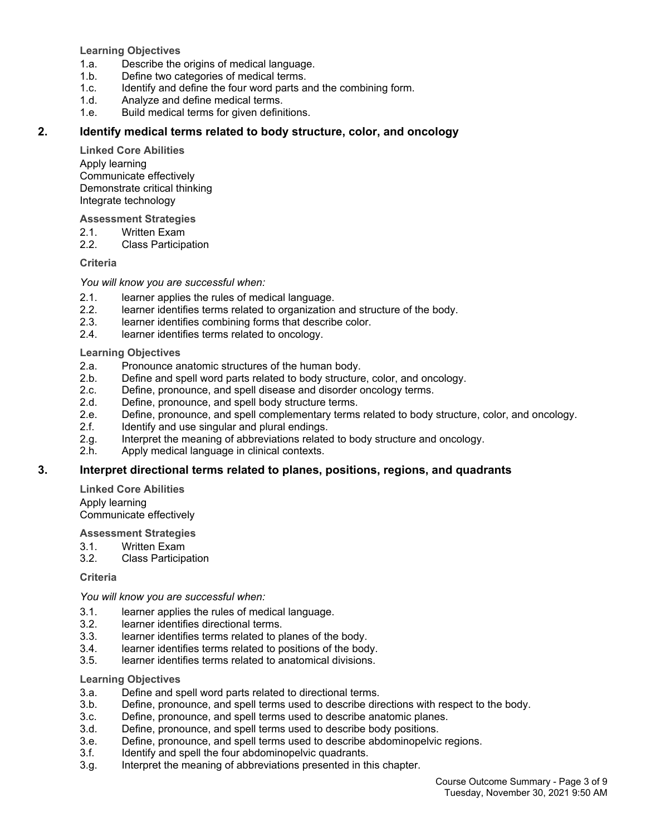**Learning Objectives**

- 1.a. Describe the origins of medical language.
- 1.b. Define two categories of medical terms.
- 1.c. Identify and define the four word parts and the combining form.
- 1.d. Analyze and define medical terms.
- 1.e. Build medical terms for given definitions.

#### **2. Identify medical terms related to body structure, color, and oncology**

**Linked Core Abilities**

Apply learning Communicate effectively Demonstrate critical thinking Integrate technology

**Assessment Strategies**

- 2.1. Written Exam<br>2.2. Class Particip
- **Class Participation**

#### **Criteria**

*You will know you are successful when:*

- 2.1. learner applies the rules of medical language.
- 2.2. learner identifies terms related to organization and structure of the body.
- 2.3. learner identifies combining forms that describe color.
- 2.4. learner identifies terms related to oncology.

#### **Learning Objectives**

- 2.a. Pronounce anatomic structures of the human body.
- 2.b. Define and spell word parts related to body structure, color, and oncology.
- 2.c. Define, pronounce, and spell disease and disorder oncology terms.
- 2.d. Define, pronounce, and spell body structure terms.
- 2.e. Define, pronounce, and spell complementary terms related to body structure, color, and oncology.
- 2.f. Identify and use singular and plural endings.
- 2.g. Interpret the meaning of abbreviations related to body structure and oncology.
- 2.h. Apply medical language in clinical contexts.

#### **3. Interpret directional terms related to planes, positions, regions, and quadrants**

**Linked Core Abilities** Apply learning

Communicate effectively

#### **Assessment Strategies**

- 3.1. Written Exam
- 3.2. Class Participation

#### **Criteria**

*You will know you are successful when:*

- 3.1. learner applies the rules of medical language.
- 3.2. learner identifies directional terms.
- 3.3. learner identifies terms related to planes of the body.
- 3.4. learner identifies terms related to positions of the body.
- 3.5. learner identifies terms related to anatomical divisions.

#### **Learning Objectives**

- 3.a. Define and spell word parts related to directional terms.
- 3.b. Define, pronounce, and spell terms used to describe directions with respect to the body.
- 3.c. Define, pronounce, and spell terms used to describe anatomic planes.
- 3.d. Define, pronounce, and spell terms used to describe body positions.
- 3.e. Define, pronounce, and spell terms used to describe abdominopelvic regions.
- 3.f. Identify and spell the four abdominopelvic quadrants.
- 3.g. Interpret the meaning of abbreviations presented in this chapter.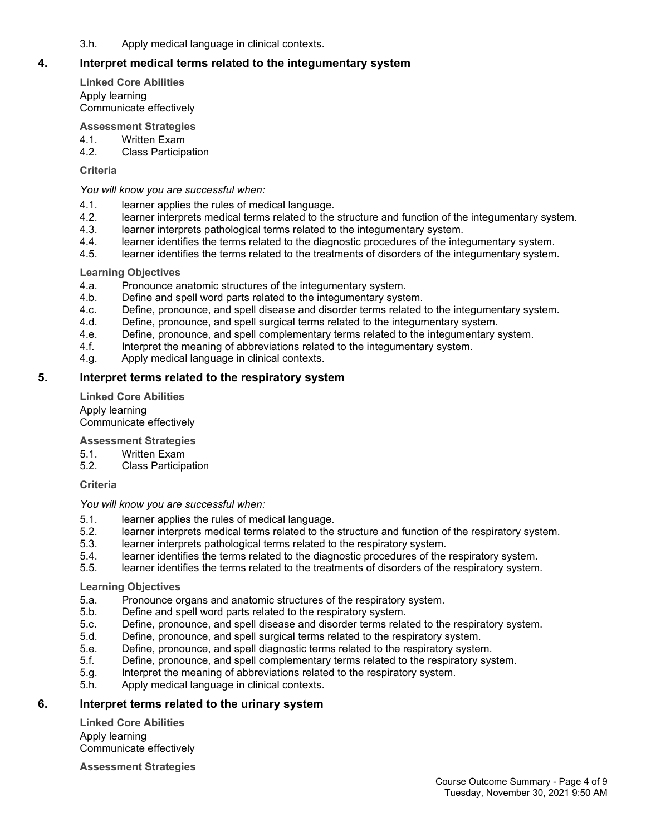3.h. Apply medical language in clinical contexts.

### **4. Interpret medical terms related to the integumentary system**

**Linked Core Abilities** Apply learning Communicate effectively

#### **Assessment Strategies**

- 4.1. Written Exam
- 4.2. Class Participation

#### **Criteria**

*You will know you are successful when:*

- 4.1. learner applies the rules of medical language.
- 4.2. learner interprets medical terms related to the structure and function of the integumentary system.
- 4.3. learner interprets pathological terms related to the integumentary system.
- 4.4. learner identifies the terms related to the diagnostic procedures of the integumentary system.
- 4.5. learner identifies the terms related to the treatments of disorders of the integumentary system.

#### **Learning Objectives**

- 4.a. Pronounce anatomic structures of the integumentary system.
- 4.b. Define and spell word parts related to the integumentary system.
- 4.c. Define, pronounce, and spell disease and disorder terms related to the integumentary system.
- 4.d. Define, pronounce, and spell surgical terms related to the integumentary system.
- 4.e. Define, pronounce, and spell complementary terms related to the integumentary system.
- 4.f. Interpret the meaning of abbreviations related to the integumentary system.
- 4.g. Apply medical language in clinical contexts.

#### **5. Interpret terms related to the respiratory system**

**Linked Core Abilities** Apply learning Communicate effectively

#### **Assessment Strategies**

- 5.1. Written Exam
- 5.2. Class Participation

#### **Criteria**

#### *You will know you are successful when:*

- 5.1. learner applies the rules of medical language.
- 5.2. learner interprets medical terms related to the structure and function of the respiratory system.
- 5.3. learner interprets pathological terms related to the respiratory system.
- 5.4. learner identifies the terms related to the diagnostic procedures of the respiratory system.
- 5.5. learner identifies the terms related to the treatments of disorders of the respiratory system.

#### **Learning Objectives**

- 5.a. Pronounce organs and anatomic structures of the respiratory system.<br>5.b. Define and spell word parts related to the respiratory system.
- Define and spell word parts related to the respiratory system.
- 5.c. Define, pronounce, and spell disease and disorder terms related to the respiratory system.
- 5.d. Define, pronounce, and spell surgical terms related to the respiratory system.
- 5.e. Define, pronounce, and spell diagnostic terms related to the respiratory system.
- 5.f. Define, pronounce, and spell complementary terms related to the respiratory system.
- 5.g. Interpret the meaning of abbreviations related to the respiratory system.
- 5.h. Apply medical language in clinical contexts.

#### **6. Interpret terms related to the urinary system**

**Linked Core Abilities** Apply learning Communicate effectively

**Assessment Strategies**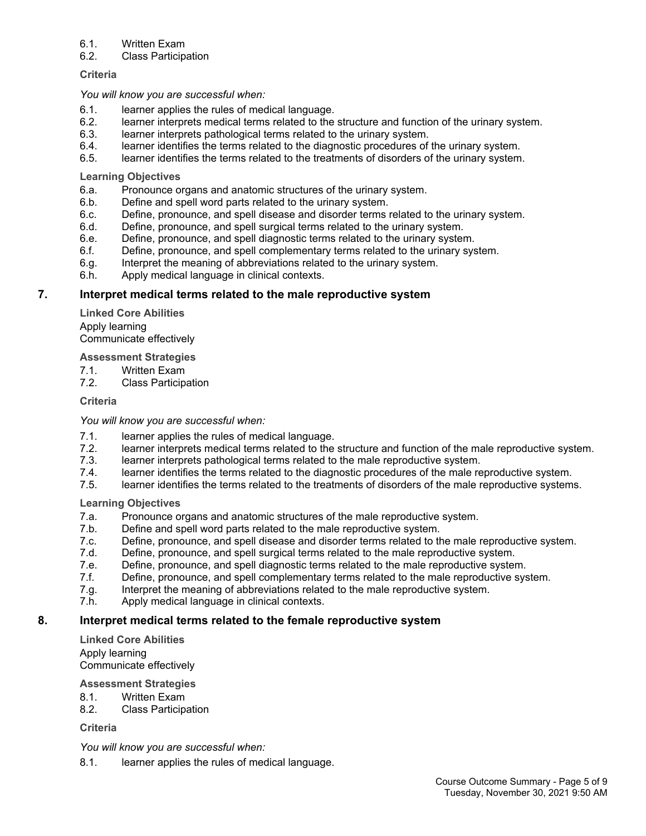#### 6.1. Written Exam

#### 6.2. Class Participation

#### **Criteria**

#### *You will know you are successful when:*

- 6.1. learner applies the rules of medical language.
- 6.2. learner interprets medical terms related to the structure and function of the urinary system.
- 6.3. learner interprets pathological terms related to the urinary system.
- 6.4. learner identifies the terms related to the diagnostic procedures of the urinary system.
- 6.5. learner identifies the terms related to the treatments of disorders of the urinary system.

#### **Learning Objectives**

- 6.a. Pronounce organs and anatomic structures of the urinary system.
- 6.b. Define and spell word parts related to the urinary system.
- 6.c. Define, pronounce, and spell disease and disorder terms related to the urinary system.
- 6.d. Define, pronounce, and spell surgical terms related to the urinary system.
- 6.e. Define, pronounce, and spell diagnostic terms related to the urinary system.
- 6.f. Define, pronounce, and spell complementary terms related to the urinary system.
- 6.g. Interpret the meaning of abbreviations related to the urinary system.
- 6.h. Apply medical language in clinical contexts.

### **7. Interpret medical terms related to the male reproductive system**

**Linked Core Abilities** Apply learning Communicate effectively

#### **Assessment Strategies**

- 7.1. Written Exam<br>7.2. Class Particin
- **Class Participation**

#### **Criteria**

#### *You will know you are successful when:*

- 7.1. learner applies the rules of medical language.
- 7.2. learner interprets medical terms related to the structure and function of the male reproductive system.
- 7.3. learner interprets pathological terms related to the male reproductive system.
- 7.4. learner identifies the terms related to the diagnostic procedures of the male reproductive system.
- 7.5. learner identifies the terms related to the treatments of disorders of the male reproductive systems.

#### **Learning Objectives**

- 7.a. Pronounce organs and anatomic structures of the male reproductive system.
- 7.b. Define and spell word parts related to the male reproductive system.
- 7.c. Define, pronounce, and spell disease and disorder terms related to the male reproductive system.
- 7.d. Define, pronounce, and spell surgical terms related to the male reproductive system.
- 7.e. Define, pronounce, and spell diagnostic terms related to the male reproductive system.
- 7.f. Define, pronounce, and spell complementary terms related to the male reproductive system.
- 7.g. Interpret the meaning of abbreviations related to the male reproductive system.
- 7.h. Apply medical language in clinical contexts.

# **8. Interpret medical terms related to the female reproductive system**

**Linked Core Abilities** Apply learning Communicate effectively

#### **Assessment Strategies**

- 8.1. Written Exam
- 8.2. Class Participation

# **Criteria**

*You will know you are successful when:*

8.1. learner applies the rules of medical language.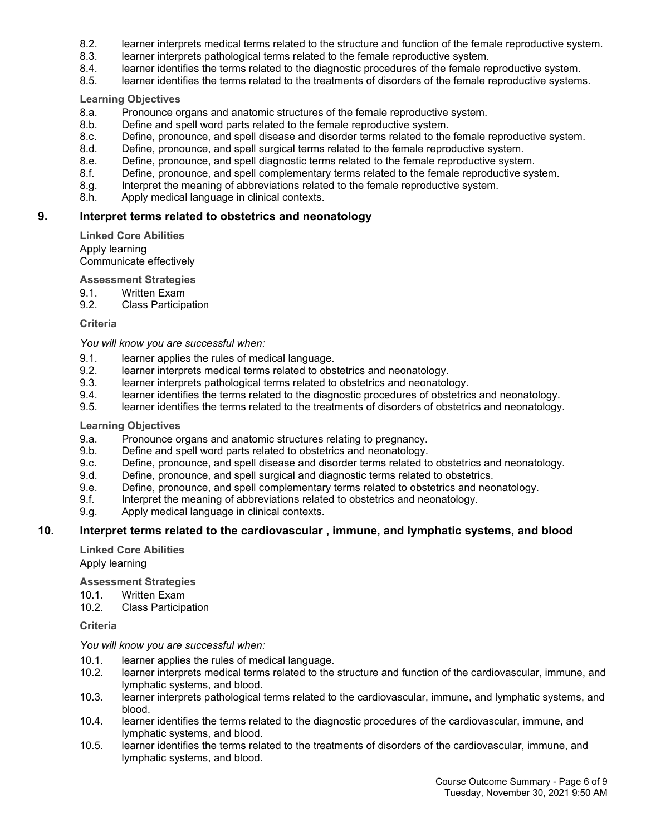- 8.2. learner interprets medical terms related to the structure and function of the female reproductive system.
- 8.3. learner interprets pathological terms related to the female reproductive system.
- 8.4. learner identifies the terms related to the diagnostic procedures of the female reproductive system.
- 8.5. learner identifies the terms related to the treatments of disorders of the female reproductive systems.

#### **Learning Objectives**

- 8.a. Pronounce organs and anatomic structures of the female reproductive system.
- 8.b. Define and spell word parts related to the female reproductive system.
- 8.c. Define, pronounce, and spell disease and disorder terms related to the female reproductive system.
- 8.d. Define, pronounce, and spell surgical terms related to the female reproductive system.
- 8.e. Define, pronounce, and spell diagnostic terms related to the female reproductive system.
- 8.f. Define, pronounce, and spell complementary terms related to the female reproductive system.
- 8.g. Interpret the meaning of abbreviations related to the female reproductive system.
- 8.h. Apply medical language in clinical contexts.

#### **9. Interpret terms related to obstetrics and neonatology**

**Linked Core Abilities** Apply learning

Communicate effectively

**Assessment Strategies**

- 9.1. Written Exam
- 9.2. Class Participation

**Criteria**

*You will know you are successful when:*

- 9.1. learner applies the rules of medical language.
- 9.2. learner interprets medical terms related to obstetrics and neonatology.
- 9.3. learner interprets pathological terms related to obstetrics and neonatology.<br>9.4. learner identifies the terms related to the diagnostic procedures of obstetric
- learner identifies the terms related to the diagnostic procedures of obstetrics and neonatology.
- 9.5. learner identifies the terms related to the treatments of disorders of obstetrics and neonatology.

#### **Learning Objectives**

- 9.a. Pronounce organs and anatomic structures relating to pregnancy.
- 9.b. Define and spell word parts related to obstetrics and neonatology.
- 9.c. Define, pronounce, and spell disease and disorder terms related to obstetrics and neonatology.
- 9.d. Define, pronounce, and spell surgical and diagnostic terms related to obstetrics.
- 9.e. Define, pronounce, and spell complementary terms related to obstetrics and neonatology.
- 9.f. Interpret the meaning of abbreviations related to obstetrics and neonatology.
- 9.g. Apply medical language in clinical contexts.

#### **10. Interpret terms related to the cardiovascular , immune, and lymphatic systems, and blood**

**Linked Core Abilities** Apply learning

**Assessment Strategies**

- 10.1. Written Exam
- 10.2. Class Participation

**Criteria**

#### *You will know you are successful when:*

- 10.1. learner applies the rules of medical language.
- 10.2. learner interprets medical terms related to the structure and function of the cardiovascular, immune, and lymphatic systems, and blood.
- 10.3. learner interprets pathological terms related to the cardiovascular, immune, and lymphatic systems, and blood.
- 10.4. learner identifies the terms related to the diagnostic procedures of the cardiovascular, immune, and lymphatic systems, and blood.
- 10.5. learner identifies the terms related to the treatments of disorders of the cardiovascular, immune, and lymphatic systems, and blood.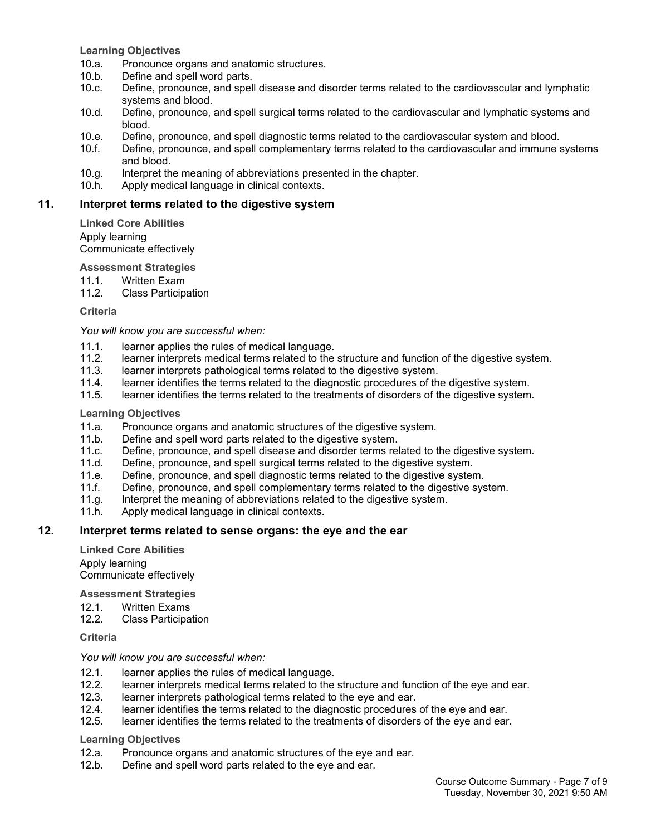**Learning Objectives**

- 10.a. Pronounce organs and anatomic structures.
- 10.b. Define and spell word parts.
- 10.c. Define, pronounce, and spell disease and disorder terms related to the cardiovascular and lymphatic systems and blood.
- 10.d. Define, pronounce, and spell surgical terms related to the cardiovascular and lymphatic systems and blood.
- 10.e. Define, pronounce, and spell diagnostic terms related to the cardiovascular system and blood.
- 10.f. Define, pronounce, and spell complementary terms related to the cardiovascular and immune systems and blood.
- 10.g. Interpret the meaning of abbreviations presented in the chapter.
- 10.h. Apply medical language in clinical contexts.

#### **11. Interpret terms related to the digestive system**

**Linked Core Abilities** Apply learning Communicate effectively

**Assessment Strategies**

- 11.1. Written Exam
- 11.2. Class Participation

**Criteria**

#### *You will know you are successful when:*

- 11.1. learner applies the rules of medical language.
- 11.2. learner interprets medical terms related to the structure and function of the digestive system.
- 11.3. learner interprets pathological terms related to the digestive system.
- 11.4. learner identifies the terms related to the diagnostic procedures of the digestive system.<br>11.5. learner identifies the terms related to the treatments of disorders of the digestive system.
- learner identifies the terms related to the treatments of disorders of the digestive system.

#### **Learning Objectives**

- 11.a. Pronounce organs and anatomic structures of the digestive system.
- 11.b. Define and spell word parts related to the digestive system.
- 11.c. Define, pronounce, and spell disease and disorder terms related to the digestive system.
- 11.d. Define, pronounce, and spell surgical terms related to the digestive system.
- 11.e. Define, pronounce, and spell diagnostic terms related to the digestive system.
- 11.f. Define, pronounce, and spell complementary terms related to the digestive system.
- 11.g. Interpret the meaning of abbreviations related to the digestive system.
- 11.h. Apply medical language in clinical contexts.

#### **12. Interpret terms related to sense organs: the eye and the ear**

**Linked Core Abilities** Apply learning Communicate effectively

#### **Assessment Strategies**

- 12.1. Written Exams
- 12.2. Class Participation

#### **Criteria**

#### *You will know you are successful when:*

- 12.1. learner applies the rules of medical language.
- 12.2. learner interprets medical terms related to the structure and function of the eye and ear.<br>12.3. learner interprets pathological terms related to the eye and ear.
- learner interprets pathological terms related to the eye and ear.
- 12.4. learner identifies the terms related to the diagnostic procedures of the eye and ear.
- 12.5. learner identifies the terms related to the treatments of disorders of the eye and ear.

#### **Learning Objectives**

- 12.a. Pronounce organs and anatomic structures of the eye and ear.
- 12.b. Define and spell word parts related to the eye and ear.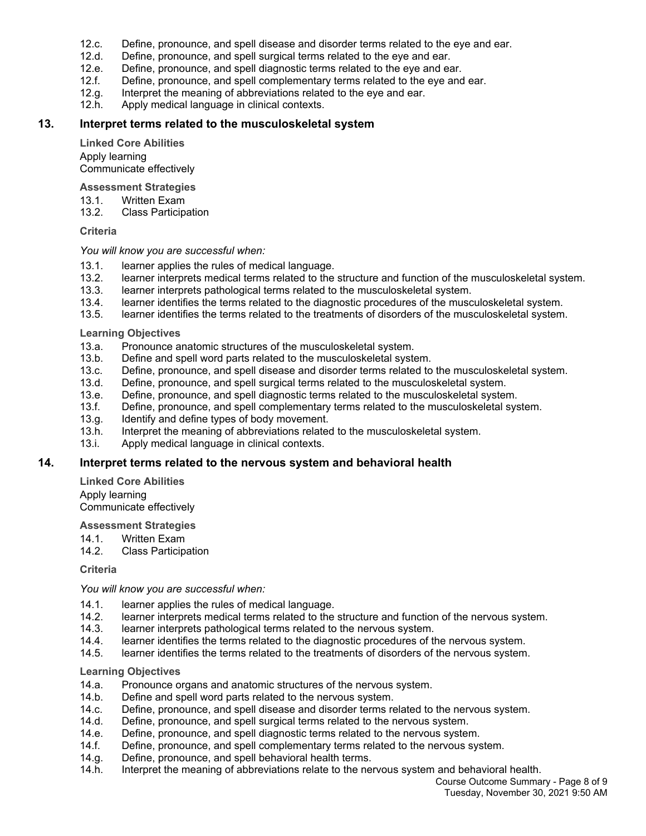- 12.c. Define, pronounce, and spell disease and disorder terms related to the eye and ear.
- 12.d. Define, pronounce, and spell surgical terms related to the eye and ear.
- 12.e. Define, pronounce, and spell diagnostic terms related to the eye and ear.
- 12.f. Define, pronounce, and spell complementary terms related to the eye and ear.
- 12.g. Interpret the meaning of abbreviations related to the eye and ear.
- 12.h. Apply medical language in clinical contexts.

#### **13. Interpret terms related to the musculoskeletal system**

**Linked Core Abilities** Apply learning Communicate effectively

#### **Assessment Strategies**

- 13.1. Written Exam
- 13.2. Class Participation

#### **Criteria**

#### *You will know you are successful when:*

- 13.1. learner applies the rules of medical language.<br>13.2. learner interprets medical terms related to the
- 13.2. learner interprets medical terms related to the structure and function of the musculoskeletal system.<br>13.3. learner interprets pathological terms related to the musculoskeletal system.
- learner interprets pathological terms related to the musculoskeletal system.
- 13.4. learner identifies the terms related to the diagnostic procedures of the musculoskeletal system.
- 13.5. learner identifies the terms related to the treatments of disorders of the musculoskeletal system.

#### **Learning Objectives**

- 13.a. Pronounce anatomic structures of the musculoskeletal system.
- 13.b. Define and spell word parts related to the musculoskeletal system.
- 13.c. Define, pronounce, and spell disease and disorder terms related to the musculoskeletal system.<br>13.d. Define, pronounce, and spell surgical terms related to the musculoskeletal system.
- 13.d. Define, pronounce, and spell surgical terms related to the musculoskeletal system.<br>13.e. Define, pronounce, and spell diagnostic terms related to the musculoskeletal syster
- Define, pronounce, and spell diagnostic terms related to the musculoskeletal system.
- 13.f. Define, pronounce, and spell complementary terms related to the musculoskeletal system.<br>13.g. Identify and define types of body movement.
- Identify and define types of body movement.
- 13.h. Interpret the meaning of abbreviations related to the musculoskeletal system.
- 13.i. Apply medical language in clinical contexts.

#### **14. Interpret terms related to the nervous system and behavioral health**

**Linked Core Abilities** Apply learning

Communicate effectively

#### **Assessment Strategies**

- 14.1. Written Exam
- 14.2. Class Participation

#### **Criteria**

*You will know you are successful when:*

- 14.1. learner applies the rules of medical language.
- 14.2. learner interprets medical terms related to the structure and function of the nervous system.<br>14.3. learner interprets pathological terms related to the nervous system.
- learner interprets pathological terms related to the nervous system.
- 14.4. learner identifies the terms related to the diagnostic procedures of the nervous system.
- 14.5. learner identifies the terms related to the treatments of disorders of the nervous system.

#### **Learning Objectives**

- 14.a. Pronounce organs and anatomic structures of the nervous system.
- 14.b. Define and spell word parts related to the nervous system.
- 14.c. Define, pronounce, and spell disease and disorder terms related to the nervous system.
- 14.d. Define, pronounce, and spell surgical terms related to the nervous system.
- 14.e. Define, pronounce, and spell diagnostic terms related to the nervous system.
- 14.f. Define, pronounce, and spell complementary terms related to the nervous system.
- 14.g. Define, pronounce, and spell behavioral health terms.
- 14.h. Interpret the meaning of abbreviations relate to the nervous system and behavioral health.

Course Outcome Summary - Page 8 of 9 Tuesday, November 30, 2021 9:50 AM